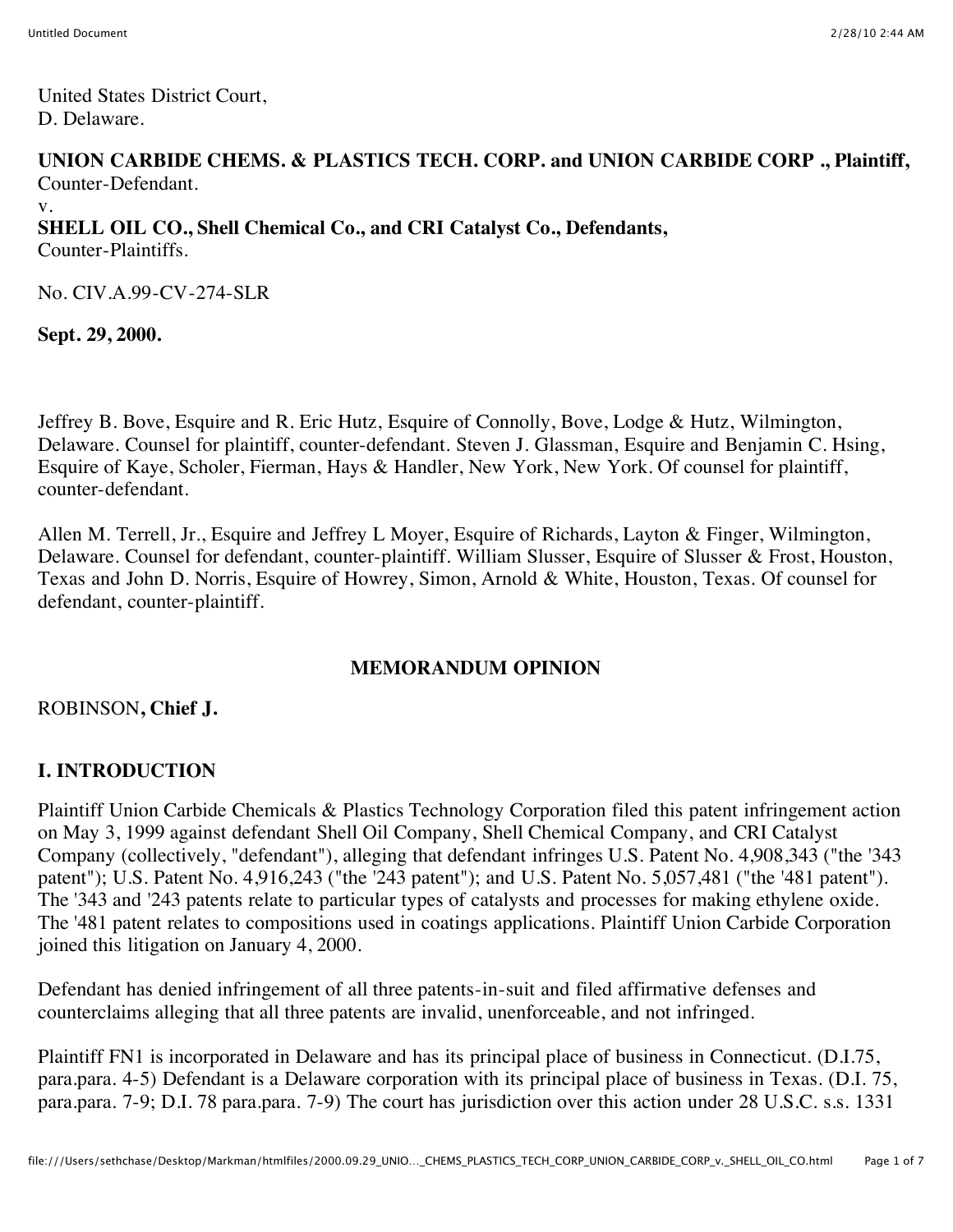United States District Court, D. Delaware.

#### **UNION CARBIDE CHEMS. & PLASTICS TECH. CORP. and UNION CARBIDE CORP ., Plaintiff,** Counter-Defendant.

v. **SHELL OIL CO., Shell Chemical Co., and CRI Catalyst Co., Defendants,** Counter-Plaintiffs.

No. CIV.A.99-CV-274-SLR

**Sept. 29, 2000.**

Jeffrey B. Bove, Esquire and R. Eric Hutz, Esquire of Connolly, Bove, Lodge & Hutz, Wilmington, Delaware. Counsel for plaintiff, counter-defendant. Steven J. Glassman, Esquire and Benjamin C. Hsing, Esquire of Kaye, Scholer, Fierman, Hays & Handler, New York, New York. Of counsel for plaintiff, counter-defendant.

Allen M. Terrell, Jr., Esquire and Jeffrey L Moyer, Esquire of Richards, Layton & Finger, Wilmington, Delaware. Counsel for defendant, counter-plaintiff. William Slusser, Esquire of Slusser & Frost, Houston, Texas and John D. Norris, Esquire of Howrey, Simon, Arnold & White, Houston, Texas. Of counsel for defendant, counter-plaintiff.

#### **MEMORANDUM OPINION**

#### ROBINSON**, Chief J.**

## **I. INTRODUCTION**

Plaintiff Union Carbide Chemicals & Plastics Technology Corporation filed this patent infringement action on May 3, 1999 against defendant Shell Oil Company, Shell Chemical Company, and CRI Catalyst Company (collectively, "defendant"), alleging that defendant infringes U.S. Patent No. 4,908,343 ("the '343 patent"); U.S. Patent No. 4,916,243 ("the '243 patent"); and U.S. Patent No. 5,057,481 ("the '481 patent"). The '343 and '243 patents relate to particular types of catalysts and processes for making ethylene oxide. The '481 patent relates to compositions used in coatings applications. Plaintiff Union Carbide Corporation joined this litigation on January 4, 2000.

Defendant has denied infringement of all three patents-in-suit and filed affirmative defenses and counterclaims alleging that all three patents are invalid, unenforceable, and not infringed.

Plaintiff FN1 is incorporated in Delaware and has its principal place of business in Connecticut. (D.I.75, para.para. 4-5) Defendant is a Delaware corporation with its principal place of business in Texas. (D.I. 75, para.para. 7-9; D.I. 78 para.para. 7-9) The court has jurisdiction over this action under 28 U.S.C. s.s. 1331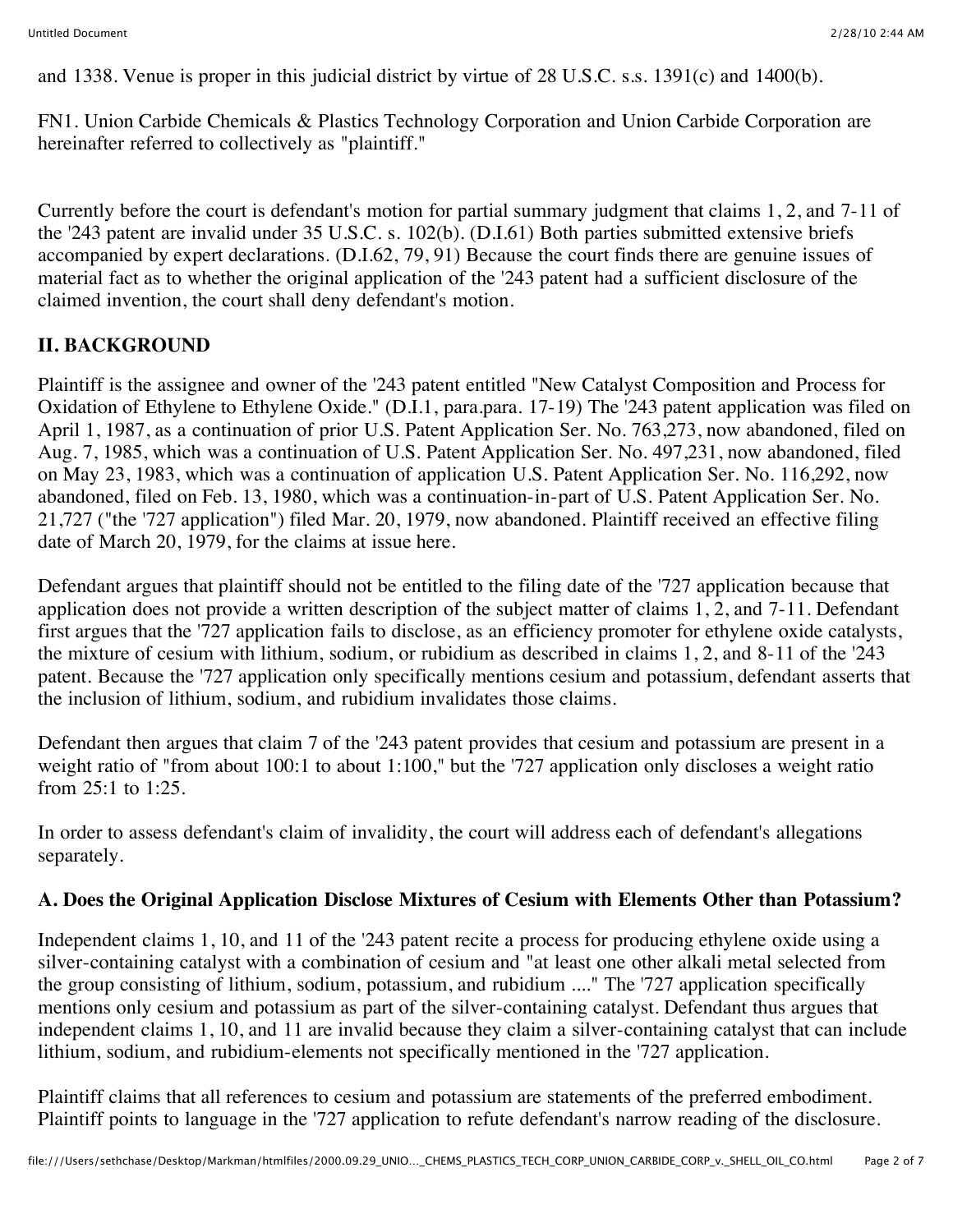and 1338. Venue is proper in this judicial district by virtue of 28 U.S.C. s.s. 1391(c) and 1400(b).

FN1. Union Carbide Chemicals & Plastics Technology Corporation and Union Carbide Corporation are hereinafter referred to collectively as "plaintiff."

Currently before the court is defendant's motion for partial summary judgment that claims 1, 2, and 7-11 of the '243 patent are invalid under 35 U.S.C. s. 102(b). (D.I.61) Both parties submitted extensive briefs accompanied by expert declarations. (D.I.62, 79, 91) Because the court finds there are genuine issues of material fact as to whether the original application of the '243 patent had a sufficient disclosure of the claimed invention, the court shall deny defendant's motion.

## **II. BACKGROUND**

Plaintiff is the assignee and owner of the '243 patent entitled "New Catalyst Composition and Process for Oxidation of Ethylene to Ethylene Oxide." (D.I.1, para.para. 17-19) The '243 patent application was filed on April 1, 1987, as a continuation of prior U.S. Patent Application Ser. No. 763,273, now abandoned, filed on Aug. 7, 1985, which was a continuation of U.S. Patent Application Ser. No. 497,231, now abandoned, filed on May 23, 1983, which was a continuation of application U.S. Patent Application Ser. No. 116,292, now abandoned, filed on Feb. 13, 1980, which was a continuation-in-part of U.S. Patent Application Ser. No. 21,727 ("the '727 application") filed Mar. 20, 1979, now abandoned. Plaintiff received an effective filing date of March 20, 1979, for the claims at issue here.

Defendant argues that plaintiff should not be entitled to the filing date of the '727 application because that application does not provide a written description of the subject matter of claims 1, 2, and 7-11. Defendant first argues that the '727 application fails to disclose, as an efficiency promoter for ethylene oxide catalysts, the mixture of cesium with lithium, sodium, or rubidium as described in claims 1, 2, and 8-11 of the '243 patent. Because the '727 application only specifically mentions cesium and potassium, defendant asserts that the inclusion of lithium, sodium, and rubidium invalidates those claims.

Defendant then argues that claim 7 of the '243 patent provides that cesium and potassium are present in a weight ratio of "from about 100:1 to about 1:100," but the '727 application only discloses a weight ratio from 25:1 to 1:25.

In order to assess defendant's claim of invalidity, the court will address each of defendant's allegations separately.

## **A. Does the Original Application Disclose Mixtures of Cesium with Elements Other than Potassium?**

Independent claims 1, 10, and 11 of the '243 patent recite a process for producing ethylene oxide using a silver-containing catalyst with a combination of cesium and "at least one other alkali metal selected from the group consisting of lithium, sodium, potassium, and rubidium ...." The '727 application specifically mentions only cesium and potassium as part of the silver-containing catalyst. Defendant thus argues that independent claims 1, 10, and 11 are invalid because they claim a silver-containing catalyst that can include lithium, sodium, and rubidium-elements not specifically mentioned in the '727 application.

Plaintiff claims that all references to cesium and potassium are statements of the preferred embodiment. Plaintiff points to language in the '727 application to refute defendant's narrow reading of the disclosure.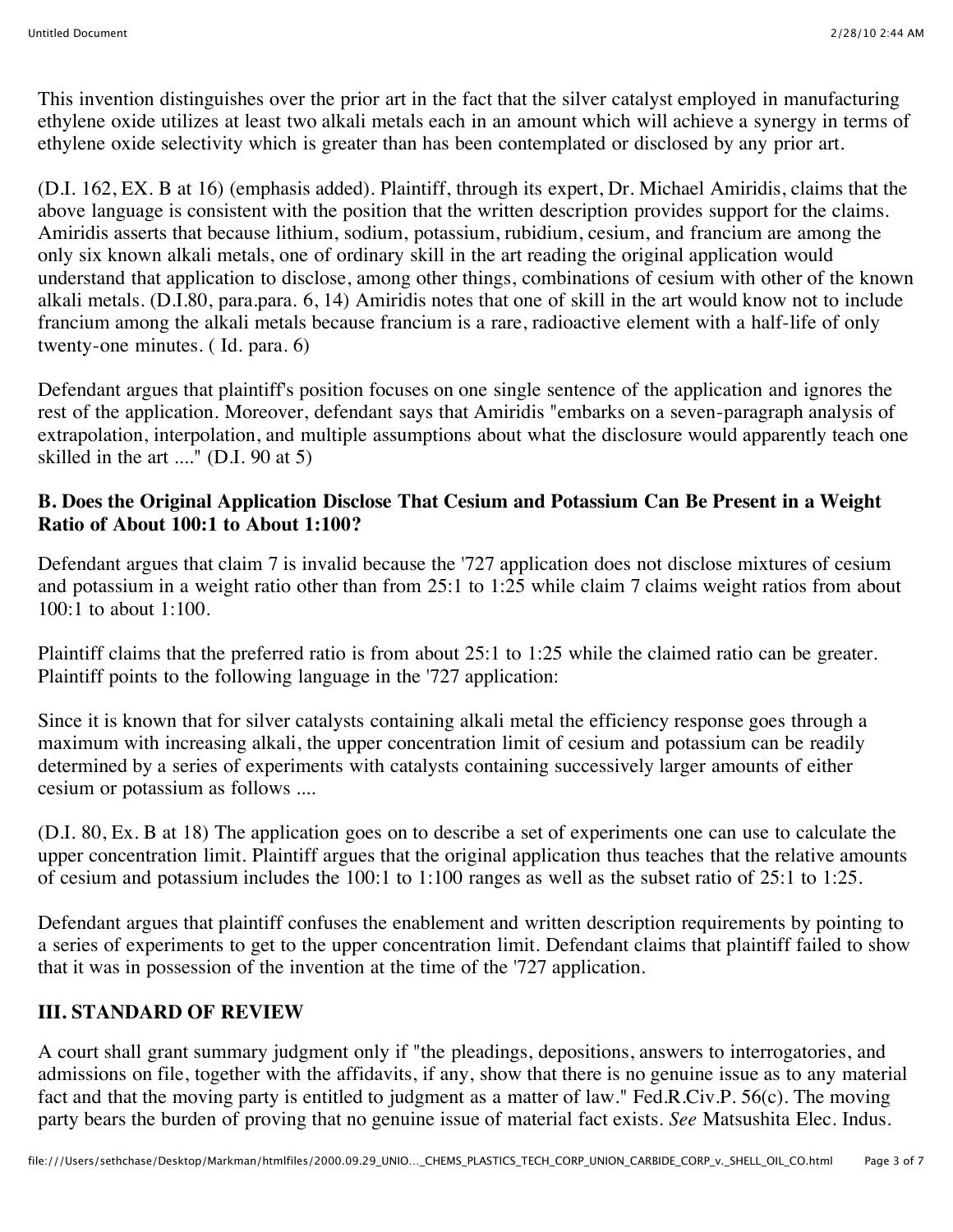This invention distinguishes over the prior art in the fact that the silver catalyst employed in manufacturing ethylene oxide utilizes at least two alkali metals each in an amount which will achieve a synergy in terms of ethylene oxide selectivity which is greater than has been contemplated or disclosed by any prior art.

(D.I. 162, EX. B at 16) (emphasis added). Plaintiff, through its expert, Dr. Michael Amiridis, claims that the above language is consistent with the position that the written description provides support for the claims. Amiridis asserts that because lithium, sodium, potassium, rubidium, cesium, and francium are among the only six known alkali metals, one of ordinary skill in the art reading the original application would understand that application to disclose, among other things, combinations of cesium with other of the known alkali metals. (D.I.80, para.para. 6, 14) Amiridis notes that one of skill in the art would know not to include francium among the alkali metals because francium is a rare, radioactive element with a half-life of only twenty-one minutes. ( Id. para. 6)

Defendant argues that plaintiff's position focuses on one single sentence of the application and ignores the rest of the application. Moreover, defendant says that Amiridis "embarks on a seven-paragraph analysis of extrapolation, interpolation, and multiple assumptions about what the disclosure would apparently teach one skilled in the art ...." (D.I. 90 at 5)

#### **B. Does the Original Application Disclose That Cesium and Potassium Can Be Present in a Weight Ratio of About 100:1 to About 1:100?**

Defendant argues that claim 7 is invalid because the '727 application does not disclose mixtures of cesium and potassium in a weight ratio other than from  $25:1$  to  $1:25$  while claim 7 claims weight ratios from about 100:1 to about 1:100.

Plaintiff claims that the preferred ratio is from about 25:1 to 1:25 while the claimed ratio can be greater. Plaintiff points to the following language in the '727 application:

Since it is known that for silver catalysts containing alkali metal the efficiency response goes through a maximum with increasing alkali, the upper concentration limit of cesium and potassium can be readily determined by a series of experiments with catalysts containing successively larger amounts of either cesium or potassium as follows ....

(D.I. 80, Ex. B at 18) The application goes on to describe a set of experiments one can use to calculate the upper concentration limit. Plaintiff argues that the original application thus teaches that the relative amounts of cesium and potassium includes the 100:1 to 1:100 ranges as well as the subset ratio of 25:1 to 1:25.

Defendant argues that plaintiff confuses the enablement and written description requirements by pointing to a series of experiments to get to the upper concentration limit. Defendant claims that plaintiff failed to show that it was in possession of the invention at the time of the '727 application.

## **III. STANDARD OF REVIEW**

A court shall grant summary judgment only if "the pleadings, depositions, answers to interrogatories, and admissions on file, together with the affidavits, if any, show that there is no genuine issue as to any material fact and that the moving party is entitled to judgment as a matter of law." Fed.R.Civ.P. 56(c). The moving party bears the burden of proving that no genuine issue of material fact exists. *See* Matsushita Elec. Indus.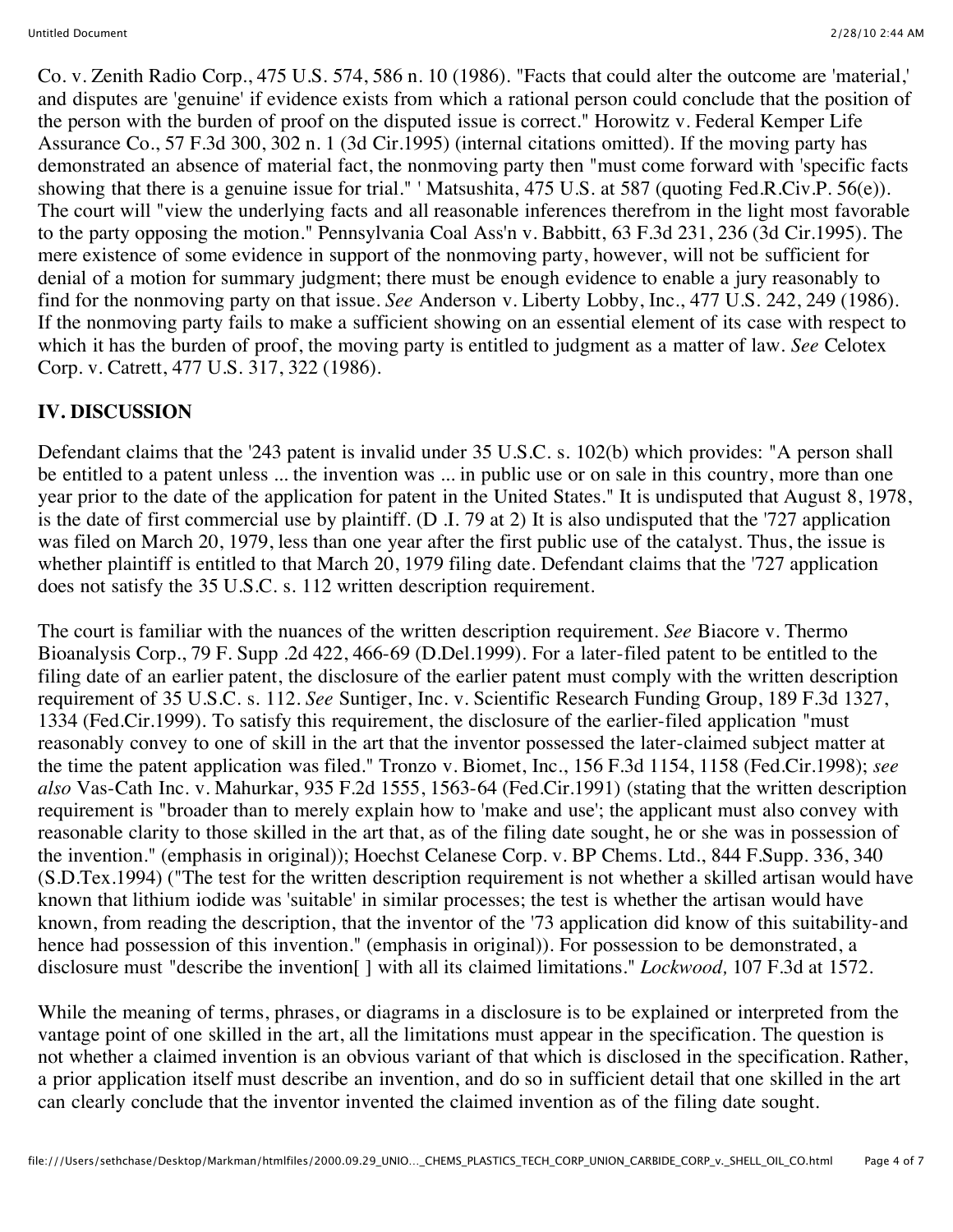Co. v. Zenith Radio Corp., 475 U.S. 574, 586 n. 10 (1986). "Facts that could alter the outcome are 'material,' and disputes are 'genuine' if evidence exists from which a rational person could conclude that the position of the person with the burden of proof on the disputed issue is correct." Horowitz v. Federal Kemper Life Assurance Co., 57 F.3d 300, 302 n. 1 (3d Cir.1995) (internal citations omitted). If the moving party has demonstrated an absence of material fact, the nonmoving party then "must come forward with 'specific facts showing that there is a genuine issue for trial." ' Matsushita, 475 U.S. at 587 (quoting Fed.R.Civ.P. 56(e)). The court will "view the underlying facts and all reasonable inferences therefrom in the light most favorable to the party opposing the motion." Pennsylvania Coal Ass'n v. Babbitt, 63 F.3d 231, 236 (3d Cir.1995). The mere existence of some evidence in support of the nonmoving party, however, will not be sufficient for denial of a motion for summary judgment; there must be enough evidence to enable a jury reasonably to find for the nonmoving party on that issue. *See* Anderson v. Liberty Lobby, Inc., 477 U.S. 242, 249 (1986). If the nonmoving party fails to make a sufficient showing on an essential element of its case with respect to which it has the burden of proof, the moving party is entitled to judgment as a matter of law. *See* Celotex Corp. v. Catrett, 477 U.S. 317, 322 (1986).

# **IV. DISCUSSION**

Defendant claims that the '243 patent is invalid under 35 U.S.C. s. 102(b) which provides: "A person shall be entitled to a patent unless ... the invention was ... in public use or on sale in this country, more than one year prior to the date of the application for patent in the United States." It is undisputed that August 8, 1978, is the date of first commercial use by plaintiff. (D .I. 79 at 2) It is also undisputed that the '727 application was filed on March 20, 1979, less than one year after the first public use of the catalyst. Thus, the issue is whether plaintiff is entitled to that March 20, 1979 filing date. Defendant claims that the '727 application does not satisfy the 35 U.S.C. s. 112 written description requirement.

The court is familiar with the nuances of the written description requirement. *See* Biacore v. Thermo Bioanalysis Corp., 79 F. Supp .2d 422, 466-69 (D.Del.1999). For a later-filed patent to be entitled to the filing date of an earlier patent, the disclosure of the earlier patent must comply with the written description requirement of 35 U.S.C. s. 112. *See* Suntiger, Inc. v. Scientific Research Funding Group, 189 F.3d 1327, 1334 (Fed.Cir.1999). To satisfy this requirement, the disclosure of the earlier-filed application "must reasonably convey to one of skill in the art that the inventor possessed the later-claimed subject matter at the time the patent application was filed." Tronzo v. Biomet, Inc., 156 F.3d 1154, 1158 (Fed.Cir.1998); *see also* Vas-Cath Inc. v. Mahurkar, 935 F.2d 1555, 1563-64 (Fed.Cir.1991) (stating that the written description requirement is "broader than to merely explain how to 'make and use'; the applicant must also convey with reasonable clarity to those skilled in the art that, as of the filing date sought, he or she was in possession of the invention." (emphasis in original)); Hoechst Celanese Corp. v. BP Chems. Ltd., 844 F.Supp. 336, 340 (S.D.Tex.1994) ("The test for the written description requirement is not whether a skilled artisan would have known that lithium iodide was 'suitable' in similar processes; the test is whether the artisan would have known, from reading the description, that the inventor of the '73 application did know of this suitability-and hence had possession of this invention." (emphasis in original)). For possession to be demonstrated, a disclosure must "describe the invention[ ] with all its claimed limitations." *Lockwood,* 107 F.3d at 1572.

While the meaning of terms, phrases, or diagrams in a disclosure is to be explained or interpreted from the vantage point of one skilled in the art, all the limitations must appear in the specification. The question is not whether a claimed invention is an obvious variant of that which is disclosed in the specification. Rather, a prior application itself must describe an invention, and do so in sufficient detail that one skilled in the art can clearly conclude that the inventor invented the claimed invention as of the filing date sought.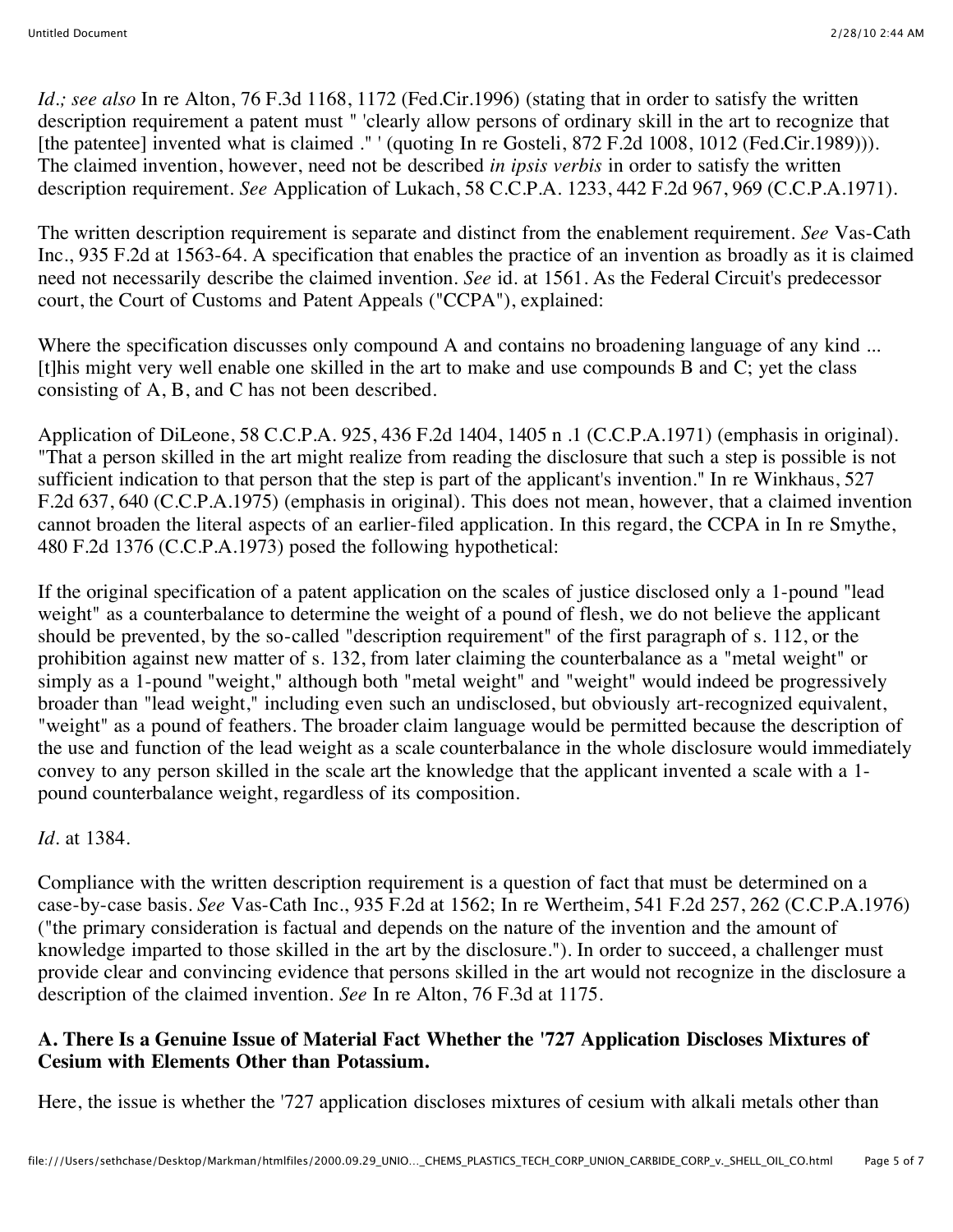*Id.; see also* In re Alton, 76 F.3d 1168, 1172 (Fed.Cir.1996) (stating that in order to satisfy the written description requirement a patent must " 'clearly allow persons of ordinary skill in the art to recognize that [the patentee] invented what is claimed ." ' (quoting In re Gosteli, 872 F.2d 1008, 1012 (Fed.Cir.1989))). The claimed invention, however, need not be described *in ipsis verbis* in order to satisfy the written description requirement. *See* Application of Lukach, 58 C.C.P.A. 1233, 442 F.2d 967, 969 (C.C.P.A.1971).

The written description requirement is separate and distinct from the enablement requirement. *See* Vas-Cath Inc., 935 F.2d at 1563-64. A specification that enables the practice of an invention as broadly as it is claimed need not necessarily describe the claimed invention. *See* id. at 1561. As the Federal Circuit's predecessor court, the Court of Customs and Patent Appeals ("CCPA"), explained:

Where the specification discusses only compound A and contains no broadening language of any kind ... [t]his might very well enable one skilled in the art to make and use compounds B and C; yet the class consisting of A, B, and C has not been described.

Application of DiLeone, 58 C.C.P.A. 925, 436 F.2d 1404, 1405 n .1 (C.C.P.A.1971) (emphasis in original). "That a person skilled in the art might realize from reading the disclosure that such a step is possible is not sufficient indication to that person that the step is part of the applicant's invention." In re Winkhaus, 527 F.2d 637, 640 (C.C.P.A.1975) (emphasis in original). This does not mean, however, that a claimed invention cannot broaden the literal aspects of an earlier-filed application. In this regard, the CCPA in In re Smythe, 480 F.2d 1376 (C.C.P.A.1973) posed the following hypothetical:

If the original specification of a patent application on the scales of justice disclosed only a 1-pound "lead weight" as a counterbalance to determine the weight of a pound of flesh, we do not believe the applicant should be prevented, by the so-called "description requirement" of the first paragraph of s. 112, or the prohibition against new matter of s. 132, from later claiming the counterbalance as a "metal weight" or simply as a 1-pound "weight," although both "metal weight" and "weight" would indeed be progressively broader than "lead weight," including even such an undisclosed, but obviously art-recognized equivalent, "weight" as a pound of feathers. The broader claim language would be permitted because the description of the use and function of the lead weight as a scale counterbalance in the whole disclosure would immediately convey to any person skilled in the scale art the knowledge that the applicant invented a scale with a 1 pound counterbalance weight, regardless of its composition.

#### *Id.* at 1384.

Compliance with the written description requirement is a question of fact that must be determined on a case-by-case basis. *See* Vas-Cath Inc., 935 F.2d at 1562; In re Wertheim, 541 F.2d 257, 262 (C.C.P.A.1976) ("the primary consideration is factual and depends on the nature of the invention and the amount of knowledge imparted to those skilled in the art by the disclosure."). In order to succeed, a challenger must provide clear and convincing evidence that persons skilled in the art would not recognize in the disclosure a description of the claimed invention. *See* In re Alton, 76 F.3d at 1175.

## **A. There Is a Genuine Issue of Material Fact Whether the '727 Application Discloses Mixtures of Cesium with Elements Other than Potassium.**

Here, the issue is whether the '727 application discloses mixtures of cesium with alkali metals other than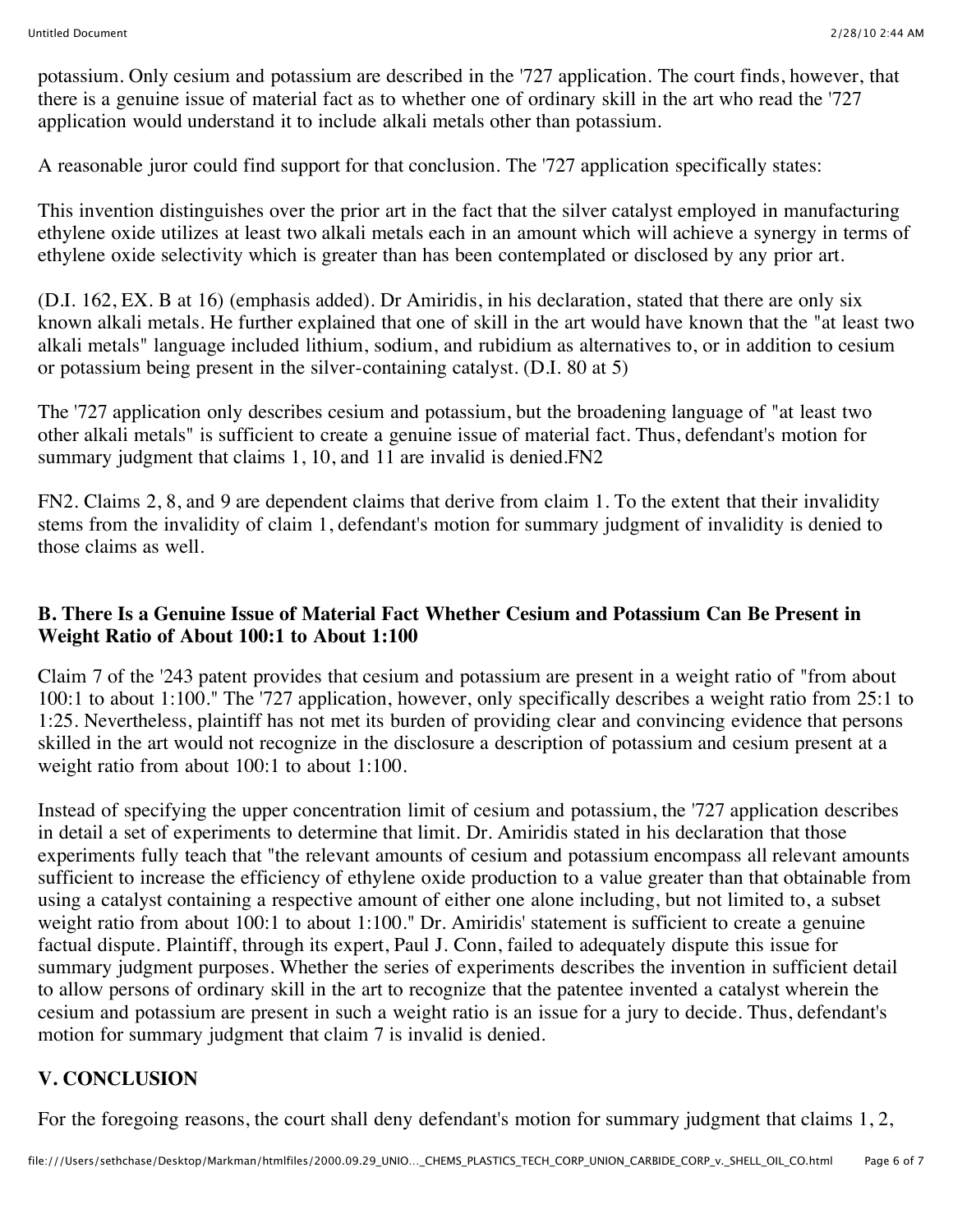potassium. Only cesium and potassium are described in the '727 application. The court finds, however, that there is a genuine issue of material fact as to whether one of ordinary skill in the art who read the '727 application would understand it to include alkali metals other than potassium.

A reasonable juror could find support for that conclusion. The '727 application specifically states:

This invention distinguishes over the prior art in the fact that the silver catalyst employed in manufacturing ethylene oxide utilizes at least two alkali metals each in an amount which will achieve a synergy in terms of ethylene oxide selectivity which is greater than has been contemplated or disclosed by any prior art.

(D.I. 162, EX. B at 16) (emphasis added). Dr Amiridis, in his declaration, stated that there are only six known alkali metals. He further explained that one of skill in the art would have known that the "at least two alkali metals" language included lithium, sodium, and rubidium as alternatives to, or in addition to cesium or potassium being present in the silver-containing catalyst. (D.I. 80 at 5)

The '727 application only describes cesium and potassium, but the broadening language of "at least two other alkali metals" is sufficient to create a genuine issue of material fact. Thus, defendant's motion for summary judgment that claims 1, 10, and 11 are invalid is denied. FN2

FN2. Claims 2, 8, and 9 are dependent claims that derive from claim 1. To the extent that their invalidity stems from the invalidity of claim 1, defendant's motion for summary judgment of invalidity is denied to those claims as well.

#### **B. There Is a Genuine Issue of Material Fact Whether Cesium and Potassium Can Be Present in Weight Ratio of About 100:1 to About 1:100**

Claim 7 of the '243 patent provides that cesium and potassium are present in a weight ratio of "from about 100:1 to about 1:100." The '727 application, however, only specifically describes a weight ratio from 25:1 to 1:25. Nevertheless, plaintiff has not met its burden of providing clear and convincing evidence that persons skilled in the art would not recognize in the disclosure a description of potassium and cesium present at a weight ratio from about 100:1 to about 1:100.

Instead of specifying the upper concentration limit of cesium and potassium, the '727 application describes in detail a set of experiments to determine that limit. Dr. Amiridis stated in his declaration that those experiments fully teach that "the relevant amounts of cesium and potassium encompass all relevant amounts sufficient to increase the efficiency of ethylene oxide production to a value greater than that obtainable from using a catalyst containing a respective amount of either one alone including, but not limited to, a subset weight ratio from about 100:1 to about 1:100." Dr. Amiridis' statement is sufficient to create a genuine factual dispute. Plaintiff, through its expert, Paul J. Conn, failed to adequately dispute this issue for summary judgment purposes. Whether the series of experiments describes the invention in sufficient detail to allow persons of ordinary skill in the art to recognize that the patentee invented a catalyst wherein the cesium and potassium are present in such a weight ratio is an issue for a jury to decide. Thus, defendant's motion for summary judgment that claim 7 is invalid is denied.

## **V. CONCLUSION**

For the foregoing reasons, the court shall deny defendant's motion for summary judgment that claims 1, 2,